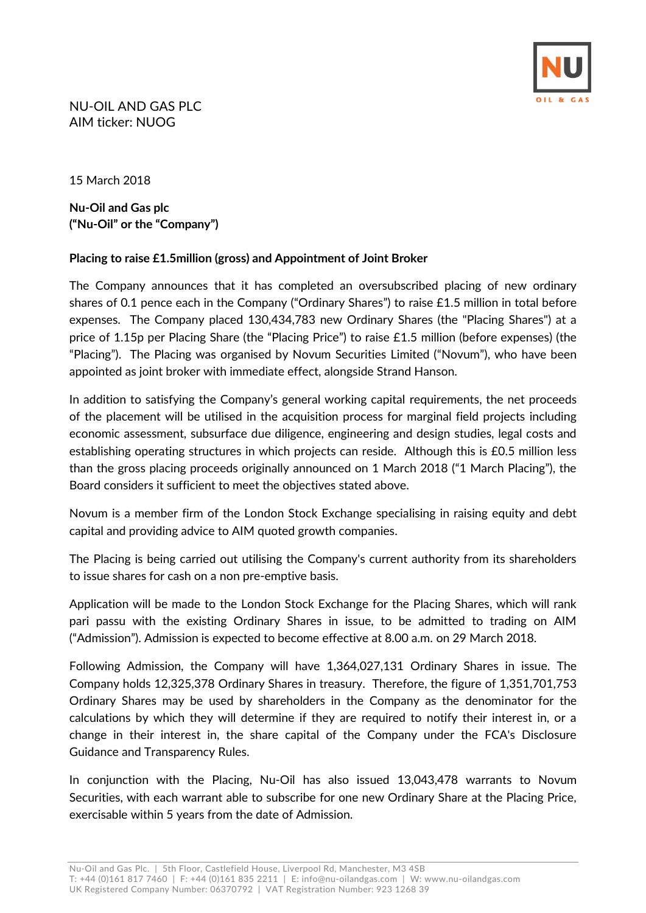

NU-OIL AND GAS PLC AIM ticker: NUOG

15 March 2018

**Nu-Oil and Gas plc ("Nu-Oil" or the "Company")**

## **Placing to raise £1.5million (gross) and Appointment of Joint Broker**

The Company announces that it has completed an oversubscribed placing of new ordinary shares of 0.1 pence each in the Company ("Ordinary Shares") to raise £1.5 million in total before expenses. The Company placed 130,434,783 new Ordinary Shares (the "Placing Shares") at a price of 1.15p per Placing Share (the "Placing Price") to raise £1.5 million (before expenses) (the "Placing"). The Placing was organised by Novum Securities Limited ("Novum"), who have been appointed as joint broker with immediate effect, alongside Strand Hanson.

In addition to satisfying the Company's general working capital requirements, the net proceeds of the placement will be utilised in the acquisition process for marginal field projects including economic assessment, subsurface due diligence, engineering and design studies, legal costs and establishing operating structures in which projects can reside. Although this is £0.5 million less than the gross placing proceeds originally announced on 1 March 2018 ("1 March Placing"), the Board considers it sufficient to meet the objectives stated above.

Novum is a member firm of the London Stock Exchange specialising in raising equity and debt capital and providing advice to AIM quoted growth companies.

The Placing is being carried out utilising the Company's current authority from its shareholders to issue shares for cash on a non pre-emptive basis.

Application will be made to the London Stock Exchange for the Placing Shares, which will rank pari passu with the existing Ordinary Shares in issue, to be admitted to trading on AIM ("Admission"). Admission is expected to become effective at 8.00 a.m. on 29 March 2018.

Following Admission, the Company will have 1,364,027,131 Ordinary Shares in issue. The Company holds 12,325,378 Ordinary Shares in treasury. Therefore, the figure of 1,351,701,753 Ordinary Shares may be used by shareholders in the Company as the denominator for the calculations by which they will determine if they are required to notify their interest in, or a change in their interest in, the share capital of the Company under the FCA's Disclosure Guidance and Transparency Rules.

In conjunction with the Placing, Nu-Oil has also issued 13,043,478 warrants to Novum Securities, with each warrant able to subscribe for one new Ordinary Share at the Placing Price, exercisable within 5 years from the date of Admission.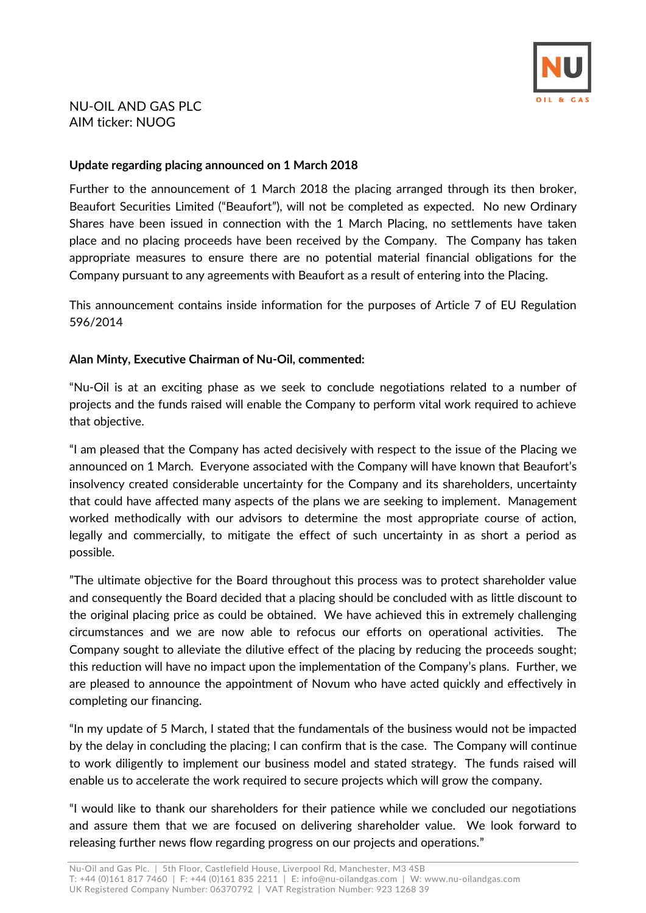

# NU-OIL AND GAS PLC AIM ticker: NUOG

#### **Update regarding placing announced on 1 March 2018**

Further to the announcement of 1 March 2018 the placing arranged through its then broker, Beaufort Securities Limited ("Beaufort"), will not be completed as expected. No new Ordinary Shares have been issued in connection with the 1 March Placing, no settlements have taken place and no placing proceeds have been received by the Company. The Company has taken appropriate measures to ensure there are no potential material financial obligations for the Company pursuant to any agreements with Beaufort as a result of entering into the Placing.

This announcement contains inside information for the purposes of Article 7 of EU Regulation 596/2014

## **Alan Minty, Executive Chairman of Nu-Oil, commented:**

"Nu-Oil is at an exciting phase as we seek to conclude negotiations related to a number of projects and the funds raised will enable the Company to perform vital work required to achieve that objective.

"I am pleased that the Company has acted decisively with respect to the issue of the Placing we announced on 1 March. Everyone associated with the Company will have known that Beaufort's insolvency created considerable uncertainty for the Company and its shareholders, uncertainty that could have affected many aspects of the plans we are seeking to implement. Management worked methodically with our advisors to determine the most appropriate course of action, legally and commercially, to mitigate the effect of such uncertainty in as short a period as possible.

"The ultimate objective for the Board throughout this process was to protect shareholder value and consequently the Board decided that a placing should be concluded with as little discount to the original placing price as could be obtained. We have achieved this in extremely challenging circumstances and we are now able to refocus our efforts on operational activities. The Company sought to alleviate the dilutive effect of the placing by reducing the proceeds sought; this reduction will have no impact upon the implementation of the Company's plans. Further, we are pleased to announce the appointment of Novum who have acted quickly and effectively in completing our financing.

"In my update of 5 March, I stated that the fundamentals of the business would not be impacted by the delay in concluding the placing; I can confirm that is the case. The Company will continue to work diligently to implement our business model and stated strategy. The funds raised will enable us to accelerate the work required to secure projects which will grow the company.

"I would like to thank our shareholders for their patience while we concluded our negotiations and assure them that we are focused on delivering shareholder value. We look forward to releasing further news flow regarding progress on our projects and operations."